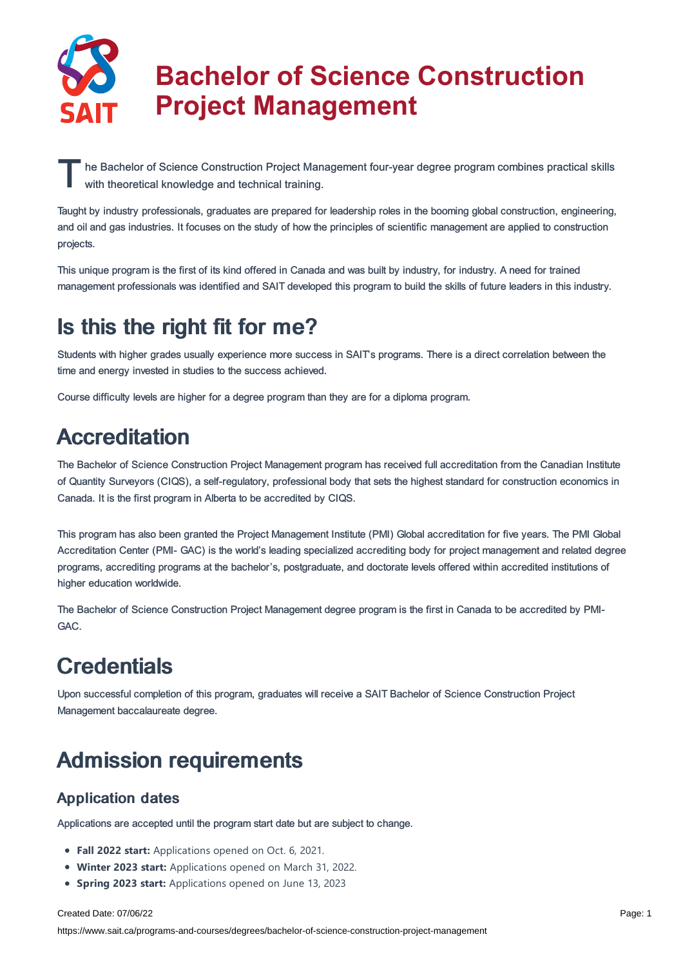

# **Bachelor of Science Construction Project Management**

The Bachelor of Science Construction Project Management four-year degree program combines practical skills<br>with theoretical knowledge and technical training. with theoretical knowledge and technical training.

Taught by industry professionals, graduates are prepared for leadership roles in the booming global construction, engineering, and oil and gas industries. It focuses on the study of how the principles of scientific management are applied to construction projects.

This unique program is the first of its kind offered in Canada and was built by industry, for industry. A need for trained management professionals was identified and SAIT developed this program to build the skills of future leaders in this industry.

# Is this the right fit for me?

Students with higher grades usually experience more success in SAIT's programs. There is a direct correlation between the time and energy invested in studies to the success achieved.

Course difficulty levels are higher for a degree program than they are for a diploma program.

# **Accreditation**

The Bachelor of Science Construction Project Management program has received full accreditation from the Canadian Institute of Quantity Surveyors (CIQS), a self-regulatory, professional body that sets the highest standard for construction economics in Canada. It is the first program in Alberta to be accredited by CIQS.

This program has also been granted the Project Management Institute (PMI) Global accreditation for five years. The PMI Global Accreditation Center (PMI- GAC) is the world's leading specialized accrediting body for project management and related degree programs, accrediting programs at the bachelor's, postgraduate, and doctorate levels offered within accredited institutions of higher education worldwide.

The Bachelor of Science Construction Project Management degree program is the first in Canada to be accredited by PMI-GAC.

# **Credentials**

Upon successful completion of this program, graduates will receive a SAIT Bachelor of Science Construction Project Management baccalaureate degree.

# Admission requirements

## Application dates

Applications are accepted until the program start date but are subject to change.

- **Fall 2022 start:** Applications opened on Oct. 6, 2021.
- **Winter 2023 start:** Applications opened on March 31, 2022.
- **Spring 2023 start:** Applications opened on June 13, 2023

#### Created Date: 07/06/22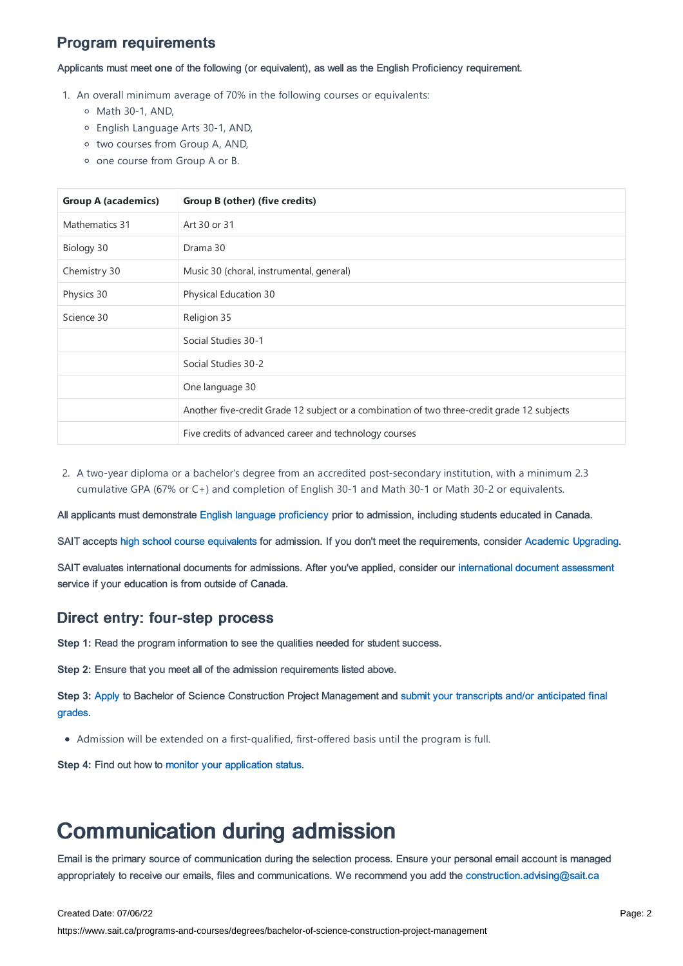## Program requirements

Applicants must meet **one** of the following (or equivalent), as well as the English Proficiency requirement.

- 1. An overall minimum average of 70% in the following courses or equivalents:
	- Math 30-1, AND,
	- English Language Arts 30-1, AND,
	- o two courses from Group A, AND,
	- one course from Group A or B.

| <b>Group A (academics)</b> | Group B (other) (five credits)                                                              |  |  |  |
|----------------------------|---------------------------------------------------------------------------------------------|--|--|--|
| Mathematics 31             | Art 30 or 31                                                                                |  |  |  |
| Biology 30                 | Drama 30                                                                                    |  |  |  |
| Chemistry 30               | Music 30 (choral, instrumental, general)                                                    |  |  |  |
| Physics 30                 | Physical Education 30                                                                       |  |  |  |
| Science 30                 | Religion 35                                                                                 |  |  |  |
|                            | Social Studies 30-1                                                                         |  |  |  |
|                            | Social Studies 30-2                                                                         |  |  |  |
|                            | One language 30                                                                             |  |  |  |
|                            | Another five-credit Grade 12 subject or a combination of two three-credit grade 12 subjects |  |  |  |
|                            | Five credits of advanced career and technology courses                                      |  |  |  |

2. A two-year diploma or a bachelor's degree from an accredited post-secondary institution, with a minimum 2.3 cumulative GPA (67% or C+) and completion of English 30-1 and Math 30-1 or Math 30-2 or equivalents.

All applicants must demonstrate English language [proficiency](https://www.sait.ca/admissions/before-you-apply/english-proficiency) prior to admission, including students educated in Canada.

SAIT accepts high school course [equivalents](https://www.sait.ca/admissions/before-you-apply/high-school-course-equivalencies) for admission. If you don't meet the requirements, consider Academic [Upgrading.](https://www.sait.ca/programs-and-courses/academic-upgrading)

SAIT evaluates international documents for admissions. After you've applied, consider our [international](https://www.sait.ca/admissions/after-you-apply/international-document-assessment) document assessment service if your education is from outside of Canada.

## Direct entry: four-step process

**Step 1:** Read the program information to see the qualities needed for student success.

**Step 2:** Ensure that you meet all of the admission requirements listed above.

**Step 3:** [Apply](https://www.sait.ca/admissions/apply) to Bachelor of Science Construction Project [Management](https://www.sait.ca/admissions/after-you-apply/transcripts-and-supporting-documents) and submit your transcripts and/or anticipated final grades.

Admission will be extended on a first-qualified, first-offered basis until the program is full.

**Step 4:** Find out how to monitor your [application](https://www.sait.ca/admissions/after-you-apply/tracking-your-application) status.

## Communication during admission

Email is the primary source of communication during the selection process. Ensure your personal email account is managed appropriately to receive our emails, files and communications. We recommend you add the [construction.advising@sait.ca](https://sait.camailto:business.advising@sait.ca)

#### Created Date: 07/06/22

https://www.sait.ca/programs-and-courses/degrees/bachelor-of-science-construction-project-management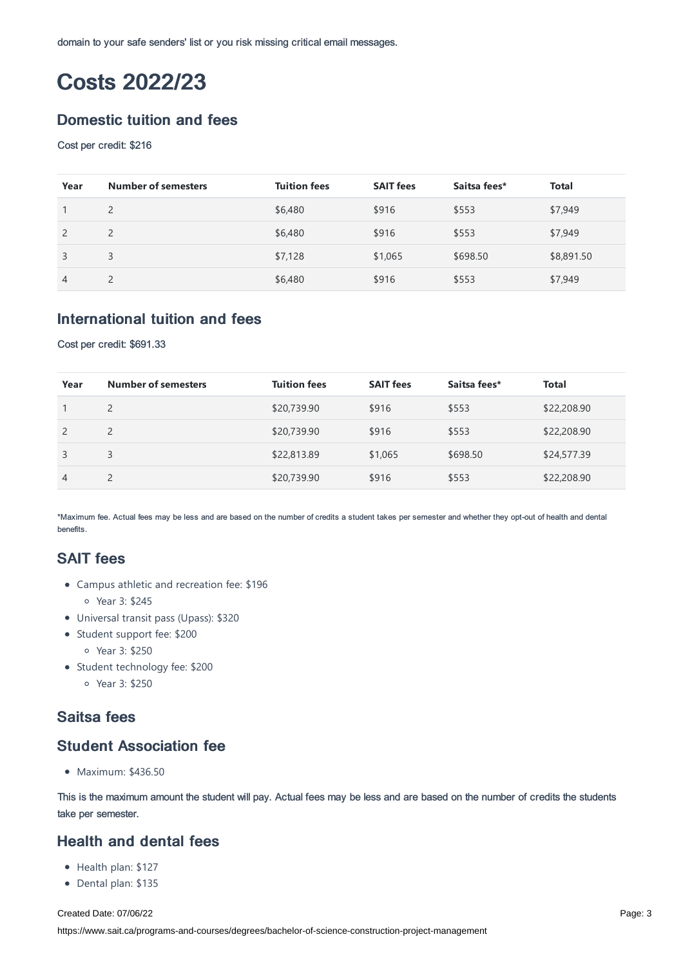domain to your safe senders' list or you risk missing critical email messages.

# Costs 2022/23

## Domestic tuition and fees

#### Cost per credit: \$216

| Year           | <b>Number of semesters</b> | <b>Tuition fees</b> | <b>SAIT fees</b> | Saitsa fees* | <b>Total</b> |
|----------------|----------------------------|---------------------|------------------|--------------|--------------|
|                | $\overline{2}$             | \$6,480             | \$916            | \$553        | \$7,949      |
|                | 2                          | \$6,480             | \$916            | \$553        | \$7,949      |
| 3              | 3                          | \$7,128             | \$1,065          | \$698.50     | \$8,891.50   |
| $\overline{4}$ | 2                          | \$6,480             | \$916            | \$553        | \$7,949      |

## International tuition and fees

Cost per credit: \$691.33

| Year           | <b>Number of semesters</b> | <b>Tuition fees</b> | <b>SAIT fees</b> | Saitsa fees* | <b>Total</b> |
|----------------|----------------------------|---------------------|------------------|--------------|--------------|
|                | 2                          | \$20,739.90         | \$916            | \$553        | \$22,208.90  |
| 2              | $\overline{2}$             | \$20,739.90         | \$916            | \$553        | \$22,208.90  |
| 3              | 3                          | \$22,813.89         | \$1,065          | \$698.50     | \$24,577.39  |
| $\overline{4}$ | $\overline{2}$             | \$20,739.90         | \$916            | \$553        | \$22,208.90  |

\*Maximum fee. Actual fees may be less and are based on the number of credits a student takes per semester and whether they opt-out of health and dental benefits.

## SAIT fees

- Campus athletic and recreation fee: \$196 Year 3: \$245
- Universal transit pass (Upass): \$320
- Student support fee: \$200
	- Year 3: \$250
- Student technology fee: \$200
	- Year 3: \$250

## Saitsa fees

## Student Association fee

Maximum: \$436.50

This is the maximum amount the student will pay. Actual fees may be less and are based on the number of credits the students take per semester.

## Health and dental fees

- Health plan: \$127
- Dental plan: \$135

Created Date: 07/06/22